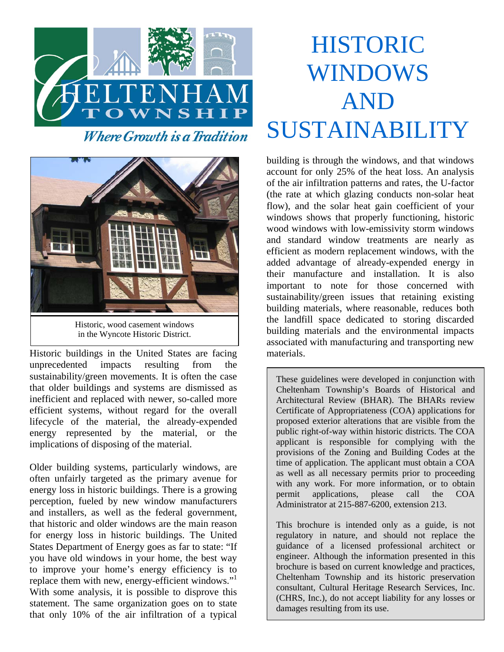



Historic, wood casement windows in the Wyncote Historic District.

Historic buildings in the United States are facing unprecedented impacts resulting from the sustainability/green movements. It is often the case that older buildings and systems are dismissed as inefficient and replaced with newer, so-called more efficient systems, without regard for the overall lifecycle of the material, the already-expended energy represented by the material, or the implications of disposing of the material.

Older building systems, particularly windows, are often unfairly targeted as the primary avenue for energy loss in historic buildings. There is a growing perception, fueled by new window manufacturers and installers, as well as the federal government, that historic and older windows are the main reason for energy loss in historic buildings. The United States Department of Energy goes as far to state: "If you have old windows in your home, the best way to improve your home's energy efficiency is to replace them with new, energy-efficient windows."<sup>1</sup> With some analysis, it is possible to disprove this statement. The same organization goes on to state that only 10% of the air infiltration of a typical

# HISTORIC WINDOWS AND SUSTAINABILITY

building is through the windows, and that windows account for only 25% of the heat loss. An analysis of the air infiltration patterns and rates, the U-factor (the rate at which glazing conducts non-solar heat flow), and the solar heat gain coefficient of your windows shows that properly functioning, historic wood windows with low-emissivity storm windows and standard window treatments are nearly as efficient as modern replacement windows, with the added advantage of already-expended energy in their manufacture and installation. It is also important to note for those concerned with sustainability/green issues that retaining existing building materials, where reasonable, reduces both the landfill space dedicated to storing discarded building materials and the environmental impacts associated with manufacturing and transporting new materials.

These guidelines were developed in conjunction with Cheltenham Township's Boards of Historical and Architectural Review (BHAR). The BHARs review Certificate of Appropriateness (COA) applications for proposed exterior alterations that are visible from the public right-of-way within historic districts. The COA applicant is responsible for complying with the provisions of the Zoning and Building Codes at the time of application. The applicant must obtain a COA as well as all necessary permits prior to proceeding with any work. For more information, or to obtain permit applications, please call the COA Administrator at 215-887-6200, extension 213.

This brochure is intended only as a guide, is not regulatory in nature, and should not replace the guidance of a licensed professional architect or engineer. Although the information presented in this brochure is based on current knowledge and practices, Cheltenham Township and its historic preservation consultant, Cultural Heritage Research Services, Inc. (CHRS, Inc.), do not accept liability for any losses or damages resulting from its use.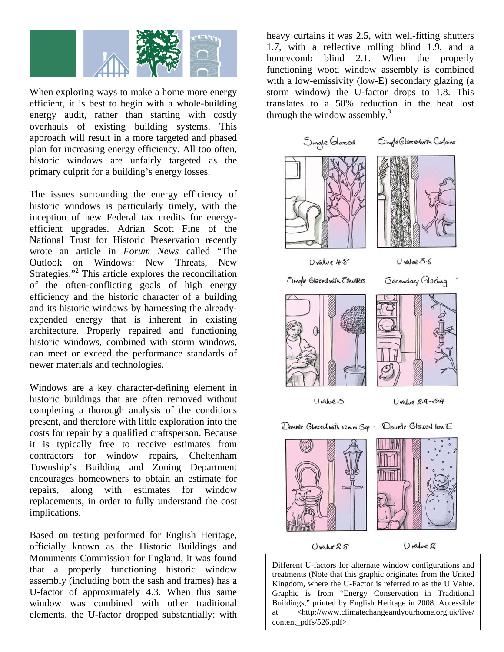

When exploring ways to make a home more energy efficient, it is best to begin with a whole-building energy audit, rather than starting with costly overhauls of existing building systems. This approach will result in a more targeted and phased plan for increasing energy efficiency. All too often, historic windows are unfairly targeted as the primary culprit for a building's energy losses.

The issues surrounding the energy efficiency of historic windows is particularly timely, with the inception of new Federal tax credits for energyefficient upgrades. Adrian Scott Fine of the National Trust for Historic Preservation recently wrote an article in *Forum News* called "The Outlook on Windows: New Threats, New Strategies."<sup>2</sup> This article explores the reconciliation of the often-conflicting goals of high energy efficiency and the historic character of a building and its historic windows by harnessing the alreadyexpended energy that is inherent in existing architecture. Properly repaired and functioning historic windows, combined with storm windows, can meet or exceed the performance standards of newer materials and technologies.

Windows are a key character-defining element in historic buildings that are often removed without completing a thorough analysis of the conditions present, and therefore with little exploration into the costs for repair by a qualified craftsperson. Because it is typically free to receive estimates from contractors for window repairs, Cheltenham Township's Building and Zoning Department encourages homeowners to obtain an estimate for repairs, along with estimates for window replacements, in order to fully understand the cost implications.

Based on testing performed for English Heritage, officially known as the Historic Buildings and Monuments Commission for England, it was found that a properly functioning historic window assembly (including both the sash and frames) has a U-factor of approximately 4.3. When this same window was combined with other traditional elements, the U-factor dropped substantially: with heavy curtains it was 2.5, with well-fitting shutters 1.7, with a reflective rolling blind 1.9, and a honeycomb blind 2.1. When the properly functioning wood window assembly is combined with a low-emissivity (low-E) secondary glazing (a storm window) the U-factor drops to 1.8. This translates to a 58% reduction in the heat lost through the window assembly.<sup>3</sup>



Different U-factors for alternate window configurations and treatments (Note that this graphic originates from the United Kingdom, where the U-Factor is referred to as the U Value. Graphic is from "Energy Conservation in Traditional Buildings," printed by English Heritage in 2008. Accessible at <http://www.climatechangeandyourhome.org.uk/live/ content\_pdfs/526.pdf>.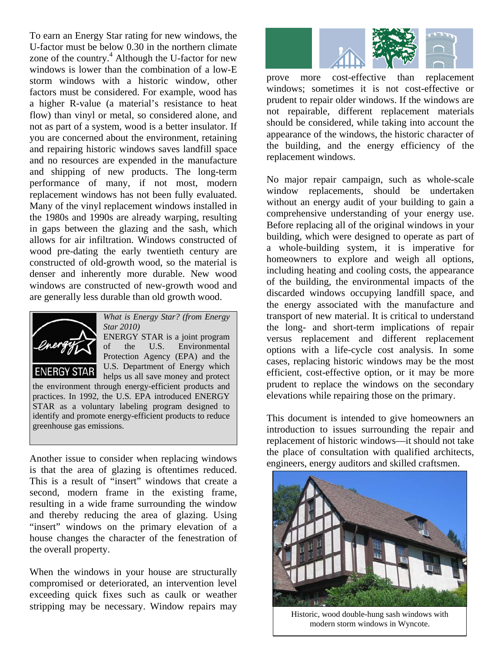To earn an Energy Star rating for new windows, the U-factor must be below 0.30 in the northern climate zone of the country.<sup>4</sup> Although the U-factor for new windows is lower than the combination of a low-E storm windows with a historic window, other factors must be considered. For example, wood has a higher R-value (a material's resistance to heat flow) than vinyl or metal, so considered alone, and not as part of a system, wood is a better insulator. If you are concerned about the environment, retaining and repairing historic windows saves landfill space and no resources are expended in the manufacture and shipping of new products. The long-term performance of many, if not most, modern replacement windows has not been fully evaluated. Many of the vinyl replacement windows installed in the 1980s and 1990s are already warping, resulting in gaps between the glazing and the sash, which allows for air infiltration. Windows constructed of wood pre-dating the early twentieth century are constructed of old-growth wood, so the material is denser and inherently more durable. New wood windows are constructed of new-growth wood and are generally less durable than old growth wood.



*What is Energy Star? (from Energy Star 2010)*  ENERGY STAR is a joint program of the U.S. Environmental Protection Agency (EPA) and the U.S. Department of Energy which helps us all save money and protect

the environment through energy-efficient products and practices. In 1992, the U.S. EPA introduced ENERGY STAR as a voluntary labeling program designed to identify and promote energy-efficient products to reduce greenhouse gas emissions.

Another issue to consider when replacing windows is that the area of glazing is oftentimes reduced. This is a result of "insert" windows that create a second, modern frame in the existing frame, resulting in a wide frame surrounding the window and thereby reducing the area of glazing. Using "insert" windows on the primary elevation of a house changes the character of the fenestration of the overall property.

When the windows in your house are structurally compromised or deteriorated, an intervention level exceeding quick fixes such as caulk or weather stripping may be necessary. Window repairs may



prove more cost-effective than replacement windows; sometimes it is not cost-effective or prudent to repair older windows. If the windows are not repairable, different replacement materials should be considered, while taking into account the appearance of the windows, the historic character of the building, and the energy efficiency of the replacement windows.

No major repair campaign, such as whole-scale window replacements, should be undertaken without an energy audit of your building to gain a comprehensive understanding of your energy use. Before replacing all of the original windows in your building, which were designed to operate as part of a whole-building system, it is imperative for homeowners to explore and weigh all options, including heating and cooling costs, the appearance of the building, the environmental impacts of the discarded windows occupying landfill space, and the energy associated with the manufacture and transport of new material. It is critical to understand the long- and short-term implications of repair versus replacement and different replacement options with a life-cycle cost analysis. In some cases, replacing historic windows may be the most efficient, cost-effective option, or it may be more prudent to replace the windows on the secondary elevations while repairing those on the primary.

This document is intended to give homeowners an introduction to issues surrounding the repair and replacement of historic windows—it should not take the place of consultation with qualified architects, engineers, energy auditors and skilled craftsmen.



Historic, wood double-hung sash windows with modern storm windows in Wyncote.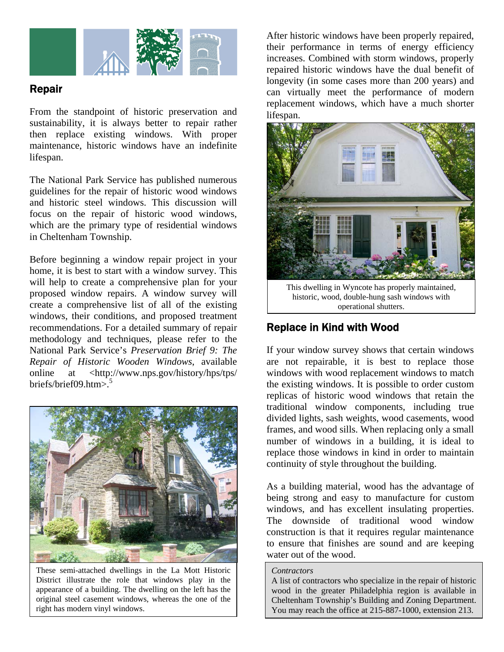

## Repair

From the standpoint of historic preservation and sustainability, it is always better to repair rather then replace existing windows. With proper maintenance, historic windows have an indefinite lifespan.

The National Park Service has published numerous guidelines for the repair of historic wood windows and historic steel windows. This discussion will focus on the repair of historic wood windows, which are the primary type of residential windows in Cheltenham Township.

Before beginning a window repair project in your home, it is best to start with a window survey. This will help to create a comprehensive plan for your proposed window repairs. A window survey will create a comprehensive list of all of the existing windows, their conditions, and proposed treatment recommendations. For a detailed summary of repair methodology and techniques, please refer to the National Park Service's *Preservation Brief 9: The Repair of Historic Wooden Windows*, available online at <http://www.nps.gov/history/hps/tps/ briefs/brief $09.$ htm $>$ .<sup>5</sup>



These semi-attached dwellings in the La Mott Historic District illustrate the role that windows play in the appearance of a building. The dwelling on the left has the original steel casement windows, whereas the one of the right has modern vinyl windows.

After historic windows have been properly repaired, their performance in terms of energy efficiency increases. Combined with storm windows, properly repaired historic windows have the dual benefit of longevity (in some cases more than 200 years) and can virtually meet the performance of modern replacement windows, which have a much shorter lifespan.



This dwelling in Wyncote has properly maintained, historic, wood, double-hung sash windows with operational shutters.

## Replace in Kind with Wood

If your window survey shows that certain windows are not repairable, it is best to replace those windows with wood replacement windows to match the existing windows. It is possible to order custom replicas of historic wood windows that retain the traditional window components, including true divided lights, sash weights, wood casements, wood frames, and wood sills. When replacing only a small number of windows in a building, it is ideal to replace those windows in kind in order to maintain continuity of style throughout the building.

As a building material, wood has the advantage of being strong and easy to manufacture for custom windows, and has excellent insulating properties. The downside of traditional wood window construction is that it requires regular maintenance to ensure that finishes are sound and are keeping water out of the wood.

#### *Contractors*

A list of contractors who specialize in the repair of historic wood in the greater Philadelphia region is available in Cheltenham Township's Building and Zoning Department. You may reach the office at 215-887-1000, extension 213.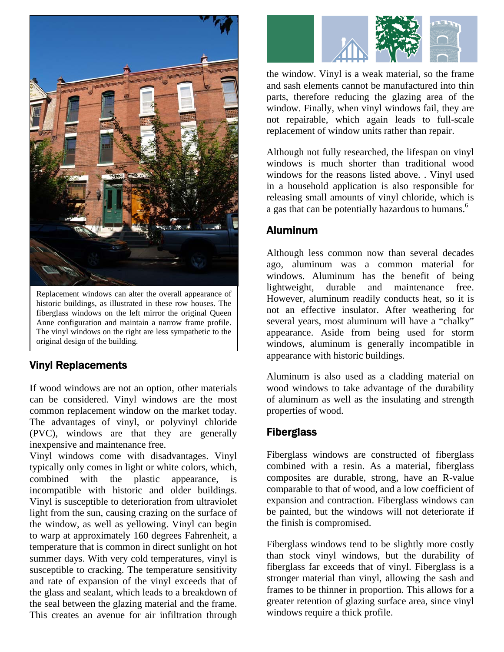

Replacement windows can alter the overall appearance of historic buildings, as illustrated in these row houses. The fiberglass windows on the left mirror the original Queen Anne configuration and maintain a narrow frame profile. The vinyl windows on the right are less sympathetic to the original design of the building.

## Vinyl Replacements

If wood windows are not an option, other materials can be considered. Vinyl windows are the most common replacement window on the market today. The advantages of vinyl, or polyvinyl chloride (PVC), windows are that they are generally inexpensive and maintenance free.

Vinyl windows come with disadvantages. Vinyl typically only comes in light or white colors, which, combined with the plastic appearance, is incompatible with historic and older buildings. Vinyl is susceptible to deterioration from ultraviolet light from the sun, causing crazing on the surface of the window, as well as yellowing. Vinyl can begin to warp at approximately 160 degrees Fahrenheit, a temperature that is common in direct sunlight on hot summer days. With very cold temperatures, vinyl is susceptible to cracking. The temperature sensitivity and rate of expansion of the vinyl exceeds that of the glass and sealant, which leads to a breakdown of the seal between the glazing material and the frame. This creates an avenue for air infiltration through



the window. Vinyl is a weak material, so the frame and sash elements cannot be manufactured into thin parts, therefore reducing the glazing area of the window. Finally, when vinyl windows fail, they are not repairable, which again leads to full-scale replacement of window units rather than repair.

Although not fully researched, the lifespan on vinyl windows is much shorter than traditional wood windows for the reasons listed above. . Vinyl used in a household application is also responsible for releasing small amounts of vinyl chloride, which is a gas that can be potentially hazardous to humans.<sup>6</sup>

## Aluminum

Although less common now than several decades ago, aluminum was a common material for windows. Aluminum has the benefit of being lightweight, durable and maintenance free. However, aluminum readily conducts heat, so it is not an effective insulator. After weathering for several years, most aluminum will have a "chalky" appearance. Aside from being used for storm windows, aluminum is generally incompatible in appearance with historic buildings.

Aluminum is also used as a cladding material on wood windows to take advantage of the durability of aluminum as well as the insulating and strength properties of wood.

## **Fiberglass**

Fiberglass windows are constructed of fiberglass combined with a resin. As a material, fiberglass composites are durable, strong, have an R-value comparable to that of wood, and a low coefficient of expansion and contraction. Fiberglass windows can be painted, but the windows will not deteriorate if the finish is compromised.

Fiberglass windows tend to be slightly more costly than stock vinyl windows, but the durability of fiberglass far exceeds that of vinyl. Fiberglass is a stronger material than vinyl, allowing the sash and frames to be thinner in proportion. This allows for a greater retention of glazing surface area, since vinyl windows require a thick profile.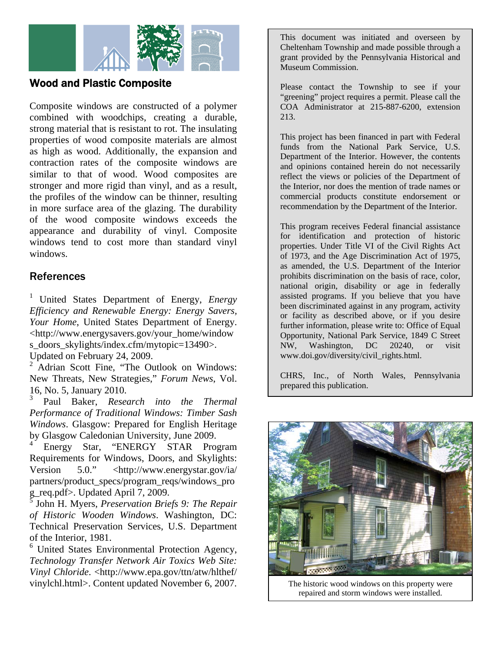

## Wood and Plastic Composite

Composite windows are constructed of a polymer combined with woodchips, creating a durable, strong material that is resistant to rot. The insulating properties of wood composite materials are almost as high as wood. Additionally, the expansion and contraction rates of the composite windows are similar to that of wood. Wood composites are stronger and more rigid than vinyl, and as a result, the profiles of the window can be thinner, resulting in more surface area of the glazing. The durability of the wood composite windows exceeds the appearance and durability of vinyl. Composite windows tend to cost more than standard vinyl windows.

### References

<sup>1</sup> United States Department of Energy, *Energy Efficiency and Renewable Energy: Energy Savers, Your Home*, United States Department of Energy. <http://www.energysavers.gov/your\_home/window s\_doors\_skylights/index.cfm/mytopic=13490>. Updated on February 24, 2009.

2 Adrian Scott Fine, "The Outlook on Windows: New Threats, New Strategies," *Forum News*, Vol. 16, No. 5, January 2010.

3 Paul Baker, *Research into the Thermal Performance of Traditional Windows: Timber Sash Windows*. Glasgow: Prepared for English Heritage by Glasgow Caledonian University, June 2009.

4 Energy Star, "ENERGY STAR Program Requirements for Windows, Doors, and Skylights: Version 5.0." <http://www.energystar.gov/ia/ partners/product\_specs/program\_reqs/windows\_pro g\_req.pdf>. Updated April 7, 2009.

 John H. Myers, *Preservation Briefs 9: The Repair of Historic Wooden Windows*. Washington, DC: Technical Preservation Services, U.S. Department of the Interior, 1981.

<sup>6</sup> United States Environmental Protection Agency, *Technology Transfer Network Air Toxics Web Site: Vinyl Chloride*. <http://www.epa.gov/ttn/atw/hlthef/ vinylchl.html>. Content updated November 6, 2007.

This document was initiated and overseen by Cheltenham Township and made possible through a grant provided by the Pennsylvania Historical and Museum Commission.

Please contact the Township to see if your "greening" project requires a permit. Please call the COA Administrator at 215-887-6200, extension 213.

This project has been financed in part with Federal funds from the National Park Service, U.S. Department of the Interior. However, the contents and opinions contained herein do not necessarily reflect the views or policies of the Department of the Interior, nor does the mention of trade names or commercial products constitute endorsement or recommendation by the Department of the Interior.

This program receives Federal financial assistance for identification and protection of historic properties. Under Title VI of the Civil Rights Act of 1973, and the Age Discrimination Act of 1975, as amended, the U.S. Department of the Interior prohibits discrimination on the basis of race, color, national origin, disability or age in federally assisted programs. If you believe that you have been discriminated against in any program, activity or facility as described above, or if you desire further information, please write to: Office of Equal Opportunity, National Park Service, 1849 C Street NW, Washington, DC 20240, or visit www.doi.gov/diversity/civil\_rights.html.

CHRS, Inc., of North Wales, Pennsylvania prepared this publication.



The historic wood windows on this property were repaired and storm windows were installed.